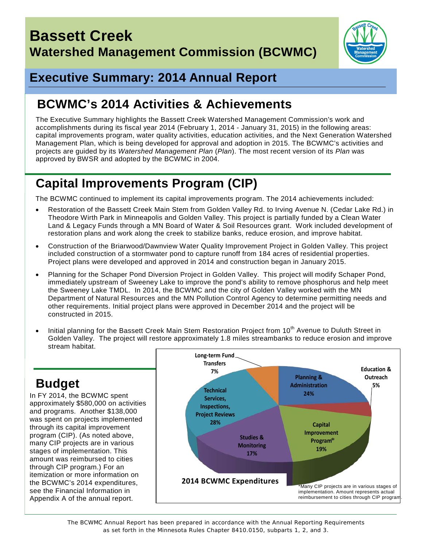

## **Executive Summary: 2014 Annual Report**

## **BCWMC's 2014 Activities & Achievements**

The Executive Summary highlights the Bassett Creek Watershed Management Commission's work and accomplishments during its fiscal year 2014 (February 1, 2014 - January 31, 2015) in the following areas: capital improvements program, water quality activities, education activities, and the Next Generation Watershed Management Plan, which is being developed for approval and adoption in 2015. The BCWMC's activities and projects are guided by its *Watershed Management Plan* (*Plan*). The most recent version of its *Plan* was approved by BWSR and adopted by the BCWMC in 2004.

# **Capital Improvements Program (CIP)**

The BCWMC continued to implement its capital improvements program. The 2014 achievements included:

- Restoration of the Bassett Creek Main Stem from Golden Valley Rd. to Irving Avenue N. (Cedar Lake Rd.) in Theodore Wirth Park in Minneapolis and Golden Valley. This project is partially funded by a Clean Water Land & Legacy Funds through a MN Board of Water & Soil Resources grant. Work included development of restoration plans and work along the creek to stabilize banks, reduce erosion, and improve habitat.
- Construction of the Briarwood/Dawnview Water Quality Improvement Project in Golden Valley. This project included construction of a stormwater pond to capture runoff from 184 acres of residential properties. Project plans were developed and approved in 2014 and construction began in January 2015.
- Planning for the Schaper Pond Diversion Project in Golden Valley. This project will modify Schaper Pond, immediately upstream of Sweeney Lake to improve the pond's ability to remove phosphorus and help meet the Sweeney Lake TMDL. In 2014, the BCWMC and the city of Golden Valley worked with the MN Department of Natural Resources and the MN Pollution Control Agency to determine permitting needs and other requirements. Initial project plans were approved in December 2014 and the project will be constructed in 2015.
- Initial planning for the Bassett Creek Main Stem Restoration Project from 10<sup>th</sup> Avenue to Duluth Street in Golden Valley. The project will restore approximately 1.8 miles streambanks to reduce erosion and improve stream habitat.

# **Budget**

In FY 2014, the BCWMC spent approximately \$580,000 on activities and programs. Another \$138,000 was spent on projects implemented through its capital improvement program (CIP). (As noted above, many CIP projects are in various stages of implementation. This amount was reimbursed to cities through CIP program.) For an itemization or more information on the BCWMC's 2014 expenditures, see the Financial Information in Appendix A of the annual report.



*The BCWMC Annual Report has been prepared in accordance with the Annual Reporting Requirements as set forth in the Minnesota Rules Chapter 8410.0150, subparts 1, 2, and 3.*